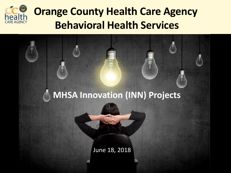

## **Orange County Health Care Agency Behavioral Health Services**

### **MHSA Innovation (INN) Projects**

June 18, 2018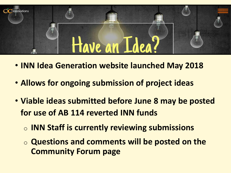

- **INN Idea Generation website launched May 2018**
- **Allows for ongoing submission of project ideas**
- **Viable ideas submitted before June 8 may be posted for use of AB 114 reverted INN funds** 
	- o **INN Staff is currently reviewing submissions**
	- o **Questions and comments will be posted on the Community Forum page**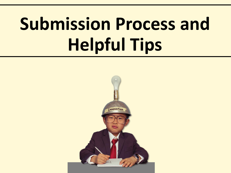# **Submission Process and Helpful Tips**

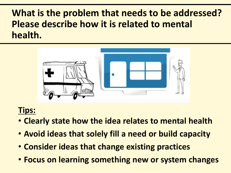## **What is the problem that needs to be addressed? Please describe how it is related to mental health.**



- **Clearly state how the idea relates to mental health**
- **Avoid ideas that solely fill a need or build capacity**
- **Consider ideas that change existing practices**
- **Focus on learning something new or system changes**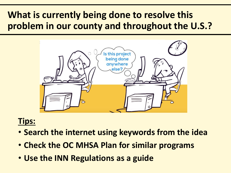## **What is currently being done to resolve this problem in our county and throughout the U.S.?**



- **Search the internet using keywords from the idea**
- **Check the OC MHSA Plan for similar programs**
- **Use the INN Regulations as a guide**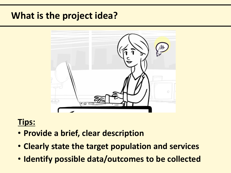### **What is the project idea?**



- **Provide a brief, clear description**
- **Clearly state the target population and services**
- **Identify possible data/outcomes to be collected**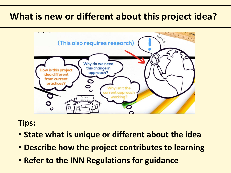## **What is new or different about this project idea?**



- **State what is unique or different about the idea**
- **Describe how the project contributes to learning**
- **Refer to the INN Regulations for guidance**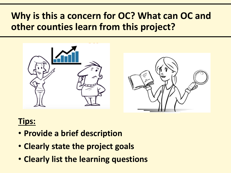## **Why is this a concern for OC? What can OC and other counties learn from this project?**





- **Provide a brief description**
- **Clearly state the project goals**
- **Clearly list the learning questions**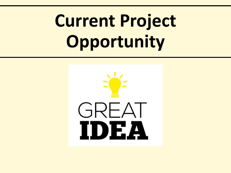# **Current Project Opportunity**

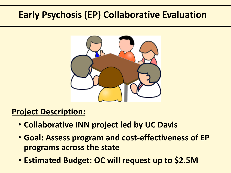## **Early Psychosis (EP) Collaborative Evaluation**



#### **Project Description:**

- **Collaborative INN project led by UC Davis**
- **Goal: Assess program and cost-effectiveness of EP programs across the state**
- **Estimated Budget: OC will request up to \$2.5M**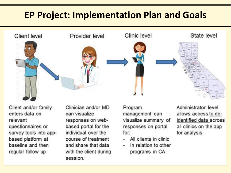## **EP Project: Implementation Plan and Goals**



Client and/or family enters data on relevant questionnaires or survey tools into appbased platform at baseline and then regular follow up

Clinician and/or MD can visualize responses on webbased portal for the individual over the course of treatment and share that data with the client during session.

Program management can visualize summary of responses on portal for:

- All clients in clinic
- In relation to other programs in CA

Administrator level allows access to deidentified data across all clinics on the app for analysis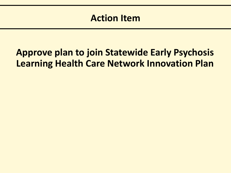## **Approve plan to join Statewide Early Psychosis Learning Health Care Network Innovation Plan**